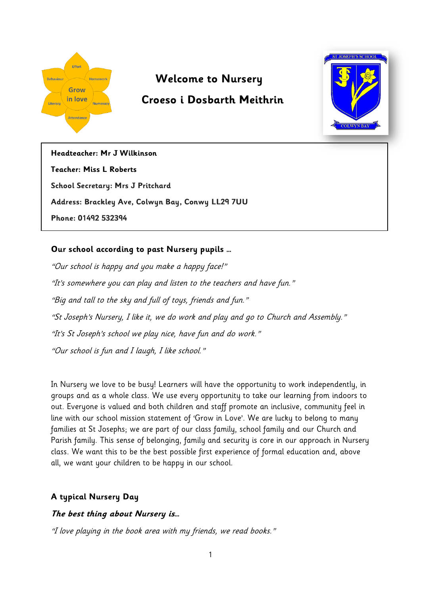

# **Welcome to Nursery**

# **Croeso i Dosbarth Meithrin**



**Headteacher: Mr J Wilkinson Teacher: Miss L Roberts School Secretary: Mrs J Pritchard Address: Brackley Ave, Colwyn Bay, Conwy LL29 7UU Phone: 01492 532394**

# **Our school according to past Nursery pupils …**

"Our school is happy and you make a happy face!" "It's somewhere you can play and listen to the teachers and have fun." "Big and tall to the sky and full of toys, friends and fun." "St Joseph's Nursery, I like it, we do work and play and go to Church and Assembly." "It's St Joseph's school we play nice, have fun and do work." "Our school is fun and I laugh, I like school."

In Nursery we love to be busy! Learners will have the opportunity to work independently, in groups and as a whole class. We use every opportunity to take our learning from indoors to out. Everyone is valued and both children and staff promote an inclusive, community feel in line with our school mission statement of 'Grow in Love'. We are lucky to belong to many families at St Josephs; we are part of our class family, school family and our Church and Parish family. This sense of belonging, family and security is core in our approach in Nursery class. We want this to be the best possible first experience of formal education and, above all, we want your children to be happy in our school.

# **A typical Nursery Day**

# **The best thing about Nursery is…**

"I love playing in the book area with my friends, we read books."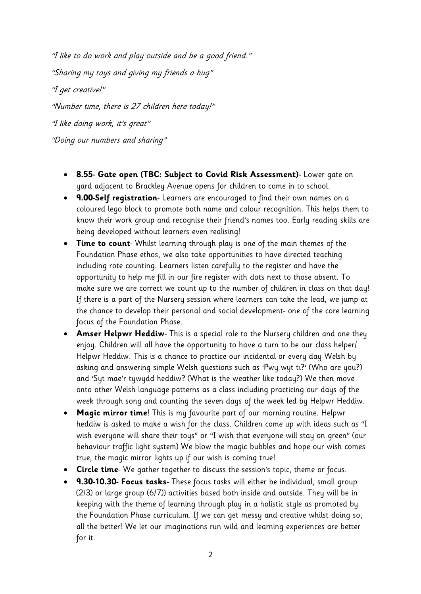"I like to do work and play outside and be a good friend." "Sharing my toys and giving my friends a hug" "I get creative!" "Number time, there is 27 children here today!" "I like doing work, it's great" "Doing our numbers and sharing"

- **8.55- Gate open (TBC: Subject to Covid Risk Assessment)-** Lower gate on yard adjacent to Brackley Avenue opens for children to come in to school.
- **9.00-Self registration** Learners are encouraged to find their own names on a coloured lego block to promote both name and colour recognition. This helps them to know their work group and recognise their friend's names too. Early reading skills are being developed without learners even realising!
- **Time to count** Whilst learning through play is one of the main themes of the Foundation Phase ethos, we also take opportunities to have directed teaching including rote counting. Learners listen carefully to the register and have the opportunity to help me fill in our fire register with dots next to those absent. To make sure we are correct we count up to the number of children in class on that day! If there is a part of the Nursery session where learners can take the lead, we jump at the chance to develop their personal and social development- one of the core learning focus of the Foundation Phase.
- **Amser Helpwr Heddiw** This is a special role to the Nursery children and one they enjoy. Children will all have the opportunity to have a turn to be our class helper/ Helpwr Heddiw. This is a chance to practice our incidental or every day Welsh by asking and answering simple Welsh questions such as 'Pwy wyt ti?' (Who are you?) and 'Syt mae'r tywydd heddiw? (What is the weather like today?) We then move onto other Welsh language patterns as a class including practicing our days of the week through song and counting the seven days of the week led by Helpwr Heddiw.
- **Magic mirror time**! This is my favourite part of our morning routine. Helpwr heddiw is asked to make a wish for the class. Children come up with ideas such as "I wish everyone will share their toys" or "I wish that everyone will stay on green" (our behaviour traffic light system) We blow the magic bubbles and hope our wish comes true, the magic mirror lights up if our wish is coming true!
- **Circle time** We gather together to discuss the session's topic, theme or focus.
- **9.30-10.30- Focus tasks-** These focus tasks will either be individual, small group (2/3) or large group (6/7)) activities based both inside and outside. They will be in keeping with the theme of learning through play in a holistic style as promoted by the Foundation Phase curriculum. If we can get messy and creative whilst doing so, all the better! We let our imaginations run wild and learning experiences are better for it.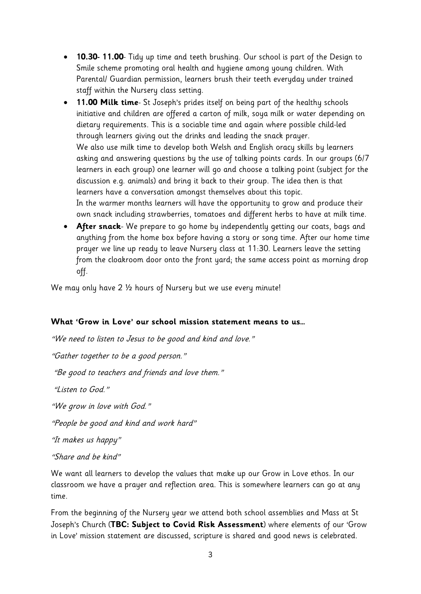- **10.30- 11.00** Tidy up time and teeth brushing. Our school is part of the Design to Smile scheme promoting oral health and hygiene among young children. With Parental/ Guardian permission, learners brush their teeth everyday under trained staff within the Nursery class setting.
- **11.00 Milk time** St Joseph's prides itself on being part of the healthy schools initiative and children are offered a carton of milk, soya milk or water depending on dietary requirements. This is a sociable time and again where possible child-led through learners giving out the drinks and leading the snack prayer. We also use milk time to develop both Welsh and English oracy skills by learners asking and answering questions by the use of talking points cards. In our groups (6/7 learners in each group) one learner will go and choose a talking point (subject for the discussion e.g. animals) and bring it back to their group. The idea then is that learners have a conversation amongst themselves about this topic. In the warmer months learners will have the opportunity to grow and produce their own snack including strawberries, tomatoes and different herbs to have at milk time.
- **After snack** We prepare to go home by independently getting our coats, bags and anything from the home box before having a story or song time. After our home time prayer we line up ready to leave Nursery class at 11:30. Learners leave the setting from the cloakroom door onto the front yard; the same access point as morning drop off.

We may only have 2 ½ hours of Nursery but we use every minute!

#### **What 'Grow in Love' our school mission statement means to us…**

"We need to listen to Jesus to be good and kind and love."

"Gather together to be a good person."

"Be good to teachers and friends and love them."

"Listen to God."

"We grow in love with God."

"People be good and kind and work hard"

"It makes us happy"

#### "Share and be kind"

We want all learners to develop the values that make up our Grow in Love ethos. In our classroom we have a prayer and reflection area. This is somewhere learners can go at any time.

From the beginning of the Nursery year we attend both school assemblies and Mass at St Joseph's Church (**TBC: Subject to Covid Risk Assessment**) where elements of our 'Grow in Love' mission statement are discussed, scripture is shared and good news is celebrated.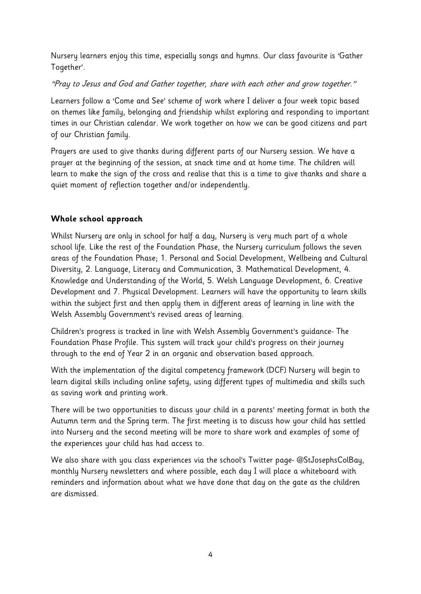Nursery learners enjoy this time, especially songs and hymns. Our class favourite is 'Gather Together'.

"Pray to Jesus and God and Gather together, share with each other and grow together."

Learners follow a 'Come and See' scheme of work where I deliver a four week topic based on themes like family, belonging and friendship whilst exploring and responding to important times in our Christian calendar. We work together on how we can be good citizens and part of our Christian family.

Prayers are used to give thanks during different parts of our Nursery session. We have a prayer at the beginning of the session, at snack time and at home time. The children will learn to make the sign of the cross and realise that this is a time to give thanks and share a quiet moment of reflection together and/or independently.

# **Whole school approach**

Whilst Nursery are only in school for half a day, Nursery is very much part of a whole school life. Like the rest of the Foundation Phase, the Nursery curriculum follows the seven areas of the Foundation Phase; 1. Personal and Social Development, Wellbeing and Cultural Diversity, 2. Language, Literacy and Communication, 3. Mathematical Development, 4. Knowledge and Understanding of the World, 5. Welsh Language Development, 6. Creative Development and 7. Physical Development. Learners will have the opportunity to learn skills within the subject first and then apply them in different areas of learning in line with the Welsh Assembly Government's revised areas of learning.

Children's progress is tracked in line with Welsh Assembly Government's guidance- The Foundation Phase Profile. This system will track your child's progress on their journey through to the end of Year 2 in an organic and observation based approach.

With the implementation of the digital competency framework (DCF) Nursery will begin to learn digital skills including online safety, using different types of multimedia and skills such as saving work and printing work.

There will be two opportunities to discuss your child in a parents' meeting format in both the Autumn term and the Spring term. The first meeting is to discuss how your child has settled into Nursery and the second meeting will be more to share work and examples of some of the experiences your child has had access to.

We also share with you class experiences via the school's Twitter page- @StJosephsColBay, monthly Nursery newsletters and where possible, each day I will place a whiteboard with reminders and information about what we have done that day on the gate as the children are dismissed.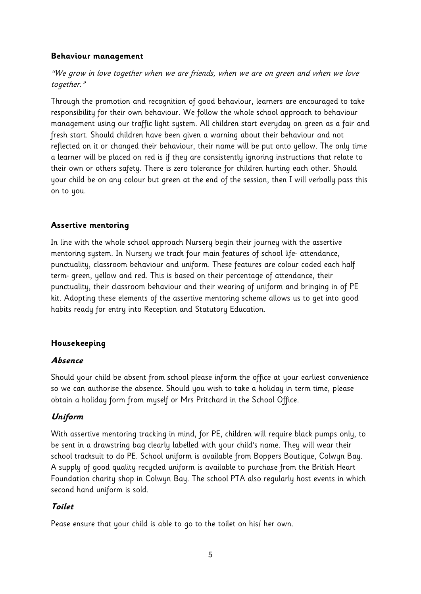#### **Behaviour management**

# "We grow in love together when we are friends, when we are on green and when we love together."

Through the promotion and recognition of good behaviour, learners are encouraged to take responsibility for their own behaviour. We follow the whole school approach to behaviour management using our traffic light system. All children start everyday on green as a fair and fresh start. Should children have been given a warning about their behaviour and not reflected on it or changed their behaviour, their name will be put onto yellow. The only time a learner will be placed on red is if they are consistently ignoring instructions that relate to their own or others safety. There is zero tolerance for children hurting each other. Should your child be on any colour but green at the end of the session, then I will verbally pass this on to you.

### **Assertive mentoring**

In line with the whole school approach Nursery begin their journey with the assertive mentoring system. In Nursery we track four main features of school life- attendance, punctuality, classroom behaviour and uniform. These features are colour coded each half term- green, yellow and red. This is based on their percentage of attendance, their punctuality, their classroom behaviour and their wearing of uniform and bringing in of PE kit. Adopting these elements of the assertive mentoring scheme allows us to get into good habits ready for entry into Reception and Statutory Education.

#### **Housekeeping**

#### **Absence**

Should your child be absent from school please inform the office at your earliest convenience so we can authorise the absence. Should you wish to take a holiday in term time, please obtain a holiday form from myself or Mrs Pritchard in the School Office.

# **Uniform**

With assertive mentoring tracking in mind, for PE, children will require black pumps only, to be sent in a drawstring bag clearly labelled with your child's name. They will wear their school tracksuit to do PE. School uniform is available from Boppers Boutique, Colwyn Bay. A supply of good quality recycled uniform is available to purchase from the British Heart Foundation charity shop in Colwyn Bay. The school PTA also regularly host events in which second hand uniform is sold.

# **Toilet**

Pease ensure that your child is able to go to the toilet on his/ her own.